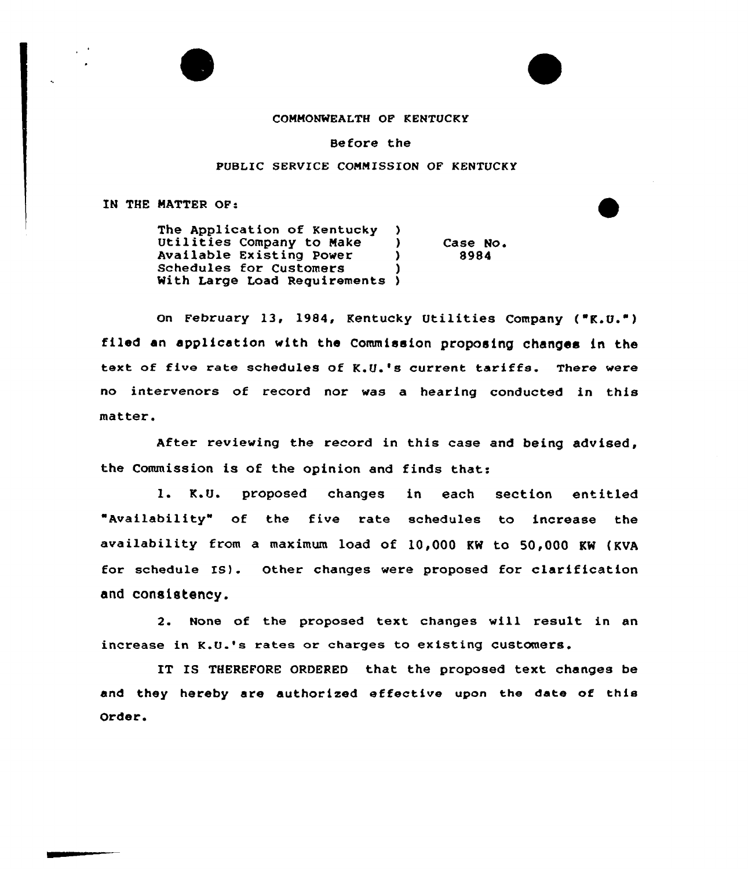

## CONNONWEALTH OP KENTUCKY

Before the

## PUBLIC SERVICE COMMISSION OF KENTUCKY

IN THE NATTER OP:

The Application of Kentucky )<br>Utilities Company to Make ) Utilities Company to Make <sup>1</sup> (1)<br>Available Existing Power 1 Available Existing Power Schedules for Customers With Large Load Requirements ) Case No. 8984

On February 13, 1984, Kentucky Utilities Company (" $K, U, W$ ) filed an application with the Commission proposing changes in the text of five rate schedules of K.Q.'s current tariffs. There were no intervenors of record nor was a hearing conducted in this matter.

After reviewing the record in this case and being advised, the Commission is of the opinion and finds that:

1. K.U. proposed changes in each section entitled "Availability" of the five rate schedules to increase the availability from a maximum load of 10,000 KW to 50,000 KM (KVA for schedule IS). Other changes were proposed for clarification and consistency.

2. None of the proposed text changes will result in an increase in K.U.'s rates or charges to existing customers.

IT IS THEREFORE ORDERED that the proposed text changes be and they hereby are authorized effective upon the date of this Order.